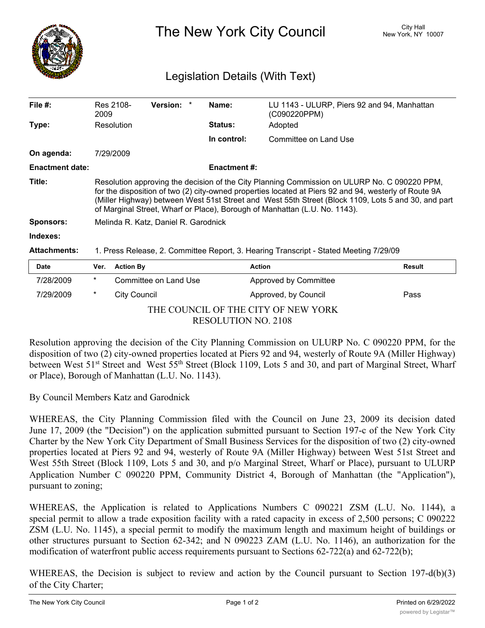

The New York City Council New York, NY 10007

## Legislation Details (With Text)

| File $#$ :             | 2009                                                                                                                                                                                                                                                                                                                                                                                       | Res 2108-        | <b>Version:</b>       |  | Name:               | LU 1143 - ULURP, Piers 92 and 94, Manhattan<br>(C090220PPM) |        |
|------------------------|--------------------------------------------------------------------------------------------------------------------------------------------------------------------------------------------------------------------------------------------------------------------------------------------------------------------------------------------------------------------------------------------|------------------|-----------------------|--|---------------------|-------------------------------------------------------------|--------|
| Type:                  |                                                                                                                                                                                                                                                                                                                                                                                            | Resolution       |                       |  | <b>Status:</b>      | Adopted                                                     |        |
|                        |                                                                                                                                                                                                                                                                                                                                                                                            |                  |                       |  | In control:         | Committee on Land Use                                       |        |
| On agenda:             |                                                                                                                                                                                                                                                                                                                                                                                            | 7/29/2009        |                       |  |                     |                                                             |        |
| <b>Enactment date:</b> |                                                                                                                                                                                                                                                                                                                                                                                            |                  |                       |  | <b>Enactment #:</b> |                                                             |        |
| Title:                 | Resolution approving the decision of the City Planning Commission on ULURP No. C 090220 PPM,<br>for the disposition of two (2) city-owned properties located at Piers 92 and 94, westerly of Route 9A<br>(Miller Highway) between West 51st Street and West 55th Street (Block 1109, Lots 5 and 30, and part<br>of Marginal Street, Wharf or Place), Borough of Manhattan (L.U. No. 1143). |                  |                       |  |                     |                                                             |        |
| <b>Sponsors:</b>       | Melinda R. Katz, Daniel R. Garodnick                                                                                                                                                                                                                                                                                                                                                       |                  |                       |  |                     |                                                             |        |
| Indexes:               |                                                                                                                                                                                                                                                                                                                                                                                            |                  |                       |  |                     |                                                             |        |
| <b>Attachments:</b>    | 1. Press Release, 2. Committee Report, 3. Hearing Transcript - Stated Meeting 7/29/09                                                                                                                                                                                                                                                                                                      |                  |                       |  |                     |                                                             |        |
| <b>Date</b>            | Ver.                                                                                                                                                                                                                                                                                                                                                                                       | <b>Action By</b> |                       |  |                     | <b>Action</b>                                               | Result |
| 7/28/2009              | $\star$                                                                                                                                                                                                                                                                                                                                                                                    |                  | Committee on Land Use |  |                     | Approved by Committee                                       |        |

THE COUNCIL OF THE CITY OF NEW YORK RESOLUTION NO. 2108

7/29/2009 \* City Council Approved, by Council Pass

Resolution approving the decision of the City Planning Commission on ULURP No. C 090220 PPM, for the disposition of two (2) city-owned properties located at Piers 92 and 94, westerly of Route 9A (Miller Highway) between West 51<sup>st</sup> Street and West 55<sup>th</sup> Street (Block 1109, Lots 5 and 30, and part of Marginal Street, Wharf or Place), Borough of Manhattan (L.U. No. 1143).

By Council Members Katz and Garodnick

WHEREAS, the City Planning Commission filed with the Council on June 23, 2009 its decision dated June 17, 2009 (the "Decision") on the application submitted pursuant to Section 197-c of the New York City Charter by the New York City Department of Small Business Services for the disposition of two (2) city-owned properties located at Piers 92 and 94, westerly of Route 9A (Miller Highway) between West 51st Street and West 55th Street (Block 1109, Lots 5 and 30, and p/o Marginal Street, Wharf or Place), pursuant to ULURP Application Number C 090220 PPM, Community District 4, Borough of Manhattan (the "Application"), pursuant to zoning;

WHEREAS, the Application is related to Applications Numbers C 090221 ZSM (L.U. No. 1144), a special permit to allow a trade exposition facility with a rated capacity in excess of 2,500 persons; C 090222 ZSM (L.U. No. 1145), a special permit to modify the maximum length and maximum height of buildings or other structures pursuant to Section 62-342; and N 090223 ZAM (L.U. No. 1146), an authorization for the modification of waterfront public access requirements pursuant to Sections 62-722(a) and 62-722(b);

WHEREAS, the Decision is subject to review and action by the Council pursuant to Section 197-d(b)(3) of the City Charter;